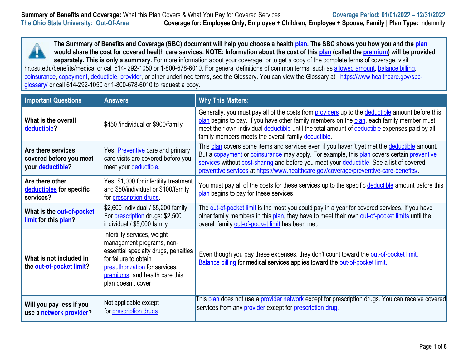

**The Summary of Benefits and Coverage (SBC) document will help you choose a health [plan.](https://www.healthcare.gov/sbc-glossary/#plan) The SBC shows you how you and the [plan](https://www.healthcare.gov/sbc-glossary/#plan) would share the cost for covered health care services. NOTE: Information about the cost of this [plan](https://www.healthcare.gov/sbc-glossary/#plan) (called the [premium\)](https://www.healthcare.gov/sbc-glossary/#premium) will be provided**  separately. This is only a summary. For more information about your coverage, or to get a copy of the complete terms of coverage, visit

hr.osu.edu/benefits/medical or call 614-292-1050 or 1-800-678-6010. For general definitions of common terms, such as [allowed amount,](https://www.healthcare.gov/sbc-glossary/#allowed-amount) [balance billing,](https://www.healthcare.gov/sbc-glossary/#balance-billing) [coinsurance,](https://www.healthcare.gov/sbc-glossary/#coinsurance) [copayment,](https://www.healthcare.gov/sbc-glossary/#copayment) [deductible,](https://www.healthcare.gov/sbc-glossary/#deductible) [provider,](https://www.healthcare.gov/sbc-glossary/#provider) or other underlined terms, see the Glossary. You can view the Glossary at [https://www.healthcare.gov/sbc](https://www.healthcare.gov/sbc-glossary/)[glossary/](https://www.healthcare.gov/sbc-glossary/) or call 614-292-1050 or 1-800-678-6010 to request a copy.

| <b>Important Questions</b>                                        | <b>Answers</b>                                                                                                                                                                                                       | <b>Why This Matters:</b>                                                                                                                                                                                                                                                                                                                                                       |
|-------------------------------------------------------------------|----------------------------------------------------------------------------------------------------------------------------------------------------------------------------------------------------------------------|--------------------------------------------------------------------------------------------------------------------------------------------------------------------------------------------------------------------------------------------------------------------------------------------------------------------------------------------------------------------------------|
| What is the overall<br>deductible?                                | \$450 /individual or \$900/family                                                                                                                                                                                    | Generally, you must pay all of the costs from providers up to the deductible amount before this<br>plan begins to pay. If you have other family members on the plan, each family member must<br>meet their own individual deductible until the total amount of deductible expenses paid by all<br>family members meets the overall family deductible.                          |
| Are there services<br>covered before you meet<br>your deductible? | Yes. Preventive care and primary<br>care visits are covered before you<br>meet your deductible.                                                                                                                      | This plan covers some items and services even if you haven't yet met the deductible amount.<br>But a copayment or coinsurance may apply. For example, this plan covers certain preventive<br>services without cost-sharing and before you meet your deductible. See a list of covered<br>preventive services at https://www.healthcare.gov/coverage/preventive-care-benefits/. |
| Are there other<br>deductibles for specific<br>services?          | Yes. \$1,000 for infertility treatment<br>and \$50/individual or \$100/family<br>for <i>prescription</i> drugs                                                                                                       | You must pay all of the costs for these services up to the specific deductible amount before this<br>plan begins to pay for these services.                                                                                                                                                                                                                                    |
| What is the out-of-pocket<br>limit for this plan?                 | \$2,600 individual / \$5,200 family;<br>For <i>prescription</i> drugs: \$2,500<br>individual / \$5,000 family                                                                                                        | The out-of-pocket limit is the most you could pay in a year for covered services. If you have<br>other family members in this plan, they have to meet their own out-of-pocket limits until the<br>overall family out-of-pocket limit has been met.                                                                                                                             |
| What is not included in<br>the out-of-pocket limit?               | Infertility services, weight<br>management programs, non-<br>essential specialty drugs, penalties<br>for failure to obtain<br>preauthorization for services,<br>premiums, and health care this<br>plan doesn't cover | Even though you pay these expenses, they don't count toward the out-of-pocket limit.<br>Balance billing for medical services applies toward the out-of-pocket limit.                                                                                                                                                                                                           |
| Will you pay less if you<br>use a network provider?               | Not applicable except<br>for <i>prescription</i> drugs                                                                                                                                                               | This plan does not use a provider network except for prescription drugs. You can receive covered<br>services from any provider except for prescription drug.                                                                                                                                                                                                                   |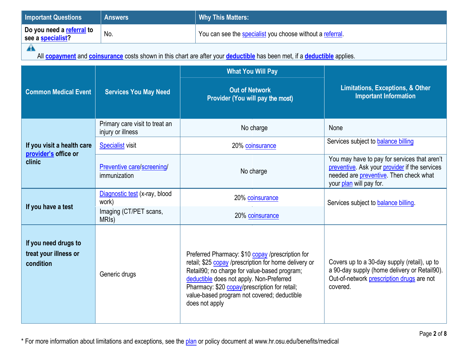| <b>Important Questions</b>                                 | <b>Answers</b>                                      | <b>Why This Matters:</b>                                                                                                                                                                                                                                                                                                |                                                                                                                                                                    |  |
|------------------------------------------------------------|-----------------------------------------------------|-------------------------------------------------------------------------------------------------------------------------------------------------------------------------------------------------------------------------------------------------------------------------------------------------------------------------|--------------------------------------------------------------------------------------------------------------------------------------------------------------------|--|
| Do you need a referral to<br>see a specialist?             | No.                                                 | You can see the specialist you choose without a referral.                                                                                                                                                                                                                                                               |                                                                                                                                                                    |  |
| $\blacktriangle$                                           |                                                     | All <b>copayment</b> and <b>coinsurance</b> costs shown in this chart are after your <b>deductible</b> has been met, if a <b>deductible</b> applies.                                                                                                                                                                    |                                                                                                                                                                    |  |
|                                                            |                                                     | <b>What You Will Pay</b>                                                                                                                                                                                                                                                                                                |                                                                                                                                                                    |  |
| <b>Common Medical Event</b>                                | <b>Services You May Need</b>                        | <b>Out of Network</b><br>Provider (You will pay the most)                                                                                                                                                                                                                                                               | <b>Limitations, Exceptions, &amp; Other</b><br><b>Important Information</b>                                                                                        |  |
|                                                            | Primary care visit to treat an<br>injury or illness | No charge                                                                                                                                                                                                                                                                                                               | None                                                                                                                                                               |  |
| If you visit a health care<br>provider's office or         | <b>Specialist</b> visit                             | 20% coinsurance                                                                                                                                                                                                                                                                                                         | Services subject to balance billing                                                                                                                                |  |
| clinic                                                     | Preventive care/screening/<br>immunization          | No charge                                                                                                                                                                                                                                                                                                               | You may have to pay for services that aren't<br>preventive. Ask your provider if the services<br>needed are preventive. Then check what<br>your plan will pay for. |  |
|                                                            | Diagnostic test (x-ray, blood<br>work)              | 20% coinsurance                                                                                                                                                                                                                                                                                                         | Services subject to balance billing.                                                                                                                               |  |
| If you have a test                                         | Imaging (CT/PET scans,<br>MRI <sub>s</sub> )        | 20% coinsurance                                                                                                                                                                                                                                                                                                         |                                                                                                                                                                    |  |
| If you need drugs to<br>treat your illness or<br>condition | Generic drugs                                       | Preferred Pharmacy: \$10 copay /prescription for<br>retail; \$25 copay /prescription for home delivery or<br>Retail90; no charge for value-based program;<br>deductible does not apply. Non-Preferred<br>Pharmacy: \$20 copay/prescription for retail;<br>value-based program not covered; deductible<br>does not apply | Covers up to a 30-day supply (retail), up to<br>a 90-day supply (home delivery or Retail90).<br>Out-of-network prescription drugs are not<br>covered.              |  |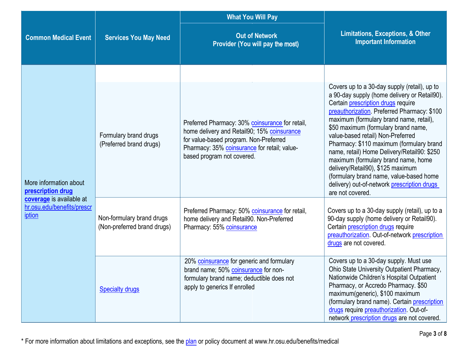|                                                                                                                 |                                                          | <b>What You Will Pay</b>                                                                                                                                                                                               |                                                                                                                                                                                                                                                                                                                                                                                                                                                                                               |
|-----------------------------------------------------------------------------------------------------------------|----------------------------------------------------------|------------------------------------------------------------------------------------------------------------------------------------------------------------------------------------------------------------------------|-----------------------------------------------------------------------------------------------------------------------------------------------------------------------------------------------------------------------------------------------------------------------------------------------------------------------------------------------------------------------------------------------------------------------------------------------------------------------------------------------|
| <b>Common Medical Event</b>                                                                                     | <b>Services You May Need</b>                             | <b>Out of Network</b><br>Provider (You will pay the most)                                                                                                                                                              | <b>Limitations, Exceptions, &amp; Other</b><br><b>Important Information</b>                                                                                                                                                                                                                                                                                                                                                                                                                   |
|                                                                                                                 |                                                          |                                                                                                                                                                                                                        | Covers up to a 30-day supply (retail), up to<br>a 90-day supply (home delivery or Retail90).                                                                                                                                                                                                                                                                                                                                                                                                  |
| More information about<br>prescription drug<br>coverage is available at<br>hr.osu.edu/benefits/prescr<br>iption | Formulary brand drugs<br>(Preferred brand drugs)         | Preferred Pharmacy: 30% coinsurance for retail,<br>home delivery and Retail90; 15% coinsurance<br>for value-based program. Non-Preferred<br>Pharmacy: 35% coinsurance for retail; value-<br>based program not covered. | Certain prescription drugs require<br>preauthorization. Preferred Pharmacy: \$100<br>maximum (formulary brand name, retail),<br>\$50 maximum (formulary brand name,<br>value-based retail) Non-Preferred<br>Pharmacy: \$110 maximum (formulary brand<br>name, retail) Home Delivery/Retail90: \$250<br>maximum (formulary brand name, home<br>delivery/Retail90), \$125 maximum<br>(formulary brand name, value-based home<br>delivery) out-of-network prescription drugs<br>are not covered. |
|                                                                                                                 | Non-formulary brand drugs<br>(Non-preferred brand drugs) | Preferred Pharmacy: 50% coinsurance for retail,<br>home delivery and Retail90. Non-Preferred<br>Pharmacy: 55% coinsurance                                                                                              | Covers up to a 30-day supply (retail), up to a<br>90-day supply (home delivery or Retail90).<br>Certain prescription drugs require<br>preauthorization. Out-of-network prescription<br>drugs are not covered.                                                                                                                                                                                                                                                                                 |
|                                                                                                                 | <b>Specialty drugs</b>                                   | 20% coinsurance for generic and formulary<br>brand name; 50% coinsurance for non-<br>formulary brand name; deductible does not<br>apply to generics If enrolled                                                        | Covers up to a 30-day supply. Must use<br>Ohio State University Outpatient Pharmacy,<br>Nationwide Children's Hospital Outpatient<br>Pharmacy, or Accredo Pharmacy. \$50<br>maximum(generic), \$100 maximum<br>(formulary brand name). Certain prescription<br>drugs require preauthorization. Out-of-<br>network prescription drugs are not covered.                                                                                                                                         |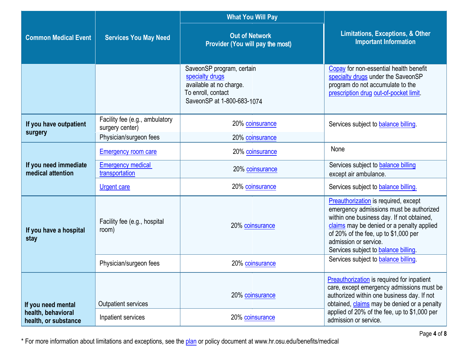|                                            |                                                                             | <b>What You Will Pay</b>                                                                                                    |                                                                                                                                                                                                                                                                                           |
|--------------------------------------------|-----------------------------------------------------------------------------|-----------------------------------------------------------------------------------------------------------------------------|-------------------------------------------------------------------------------------------------------------------------------------------------------------------------------------------------------------------------------------------------------------------------------------------|
| <b>Common Medical Event</b>                | <b>Services You May Need</b>                                                | <b>Out of Network</b><br>Provider (You will pay the most)                                                                   | <b>Limitations, Exceptions, &amp; Other</b><br><b>Important Information</b>                                                                                                                                                                                                               |
|                                            |                                                                             | SaveonSP program, certain<br>specialty drugs<br>available at no charge.<br>To enroll, contact<br>SaveonSP at 1-800-683-1074 | Copay for non-essential health benefit<br>specialty drugs under the SaveonSP<br>program do not accumulate to the<br>prescription drug out-of-pocket limit.                                                                                                                                |
| If you have outpatient<br>surgery          | Facility fee (e.g., ambulatory<br>surgery center)<br>Physician/surgeon fees | 20% coinsurance<br>20% coinsurance                                                                                          | Services subject to balance billing.                                                                                                                                                                                                                                                      |
|                                            |                                                                             |                                                                                                                             | None                                                                                                                                                                                                                                                                                      |
|                                            | <b>Emergency room care</b>                                                  | 20% coinsurance                                                                                                             |                                                                                                                                                                                                                                                                                           |
| If you need immediate<br>medical attention | <b>Emergency medical</b><br>transportation                                  | 20% coinsurance                                                                                                             | Services subject to balance billing<br>except air ambulance.                                                                                                                                                                                                                              |
|                                            | <b>Urgent care</b>                                                          | 20% coinsurance                                                                                                             | Services subject to balance billing.                                                                                                                                                                                                                                                      |
| If you have a hospital<br>stay             | Facility fee (e.g., hospital<br>room)                                       | 20% coinsurance                                                                                                             | <b>Preauthorization</b> is required, except<br>emergency admissions must be authorized<br>within one business day. If not obtained,<br>claims may be denied or a penalty applied<br>of 20% of the fee, up to \$1,000 per<br>admission or service.<br>Services subject to balance billing. |
|                                            | Physician/surgeon fees                                                      | 20% coinsurance                                                                                                             | Services subject to balance billing.                                                                                                                                                                                                                                                      |
| If you need mental                         | Outpatient services                                                         | 20% coinsurance                                                                                                             | <b>Preauthorization</b> is required for inpatient<br>care, except emergency admissions must be<br>authorized within one business day. If not<br>obtained, claims may be denied or a penalty                                                                                               |
| health, behavioral<br>health, or substance | Inpatient services                                                          | 20% coinsurance                                                                                                             | applied of 20% of the fee, up to \$1,000 per<br>admission or service.                                                                                                                                                                                                                     |

\* For more information about limitations and exceptions, see the plan or policy document at www.hr.osu.edu/benefits/medical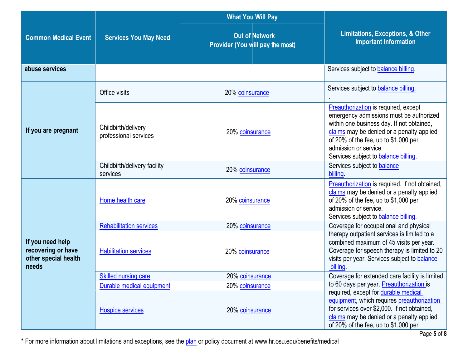|                                                                         |                                              | <b>What You Will Pay</b>                                  |                                                                                                                                                                                                                                                                                           |
|-------------------------------------------------------------------------|----------------------------------------------|-----------------------------------------------------------|-------------------------------------------------------------------------------------------------------------------------------------------------------------------------------------------------------------------------------------------------------------------------------------------|
| <b>Common Medical Event</b>                                             | <b>Services You May Need</b>                 | <b>Out of Network</b><br>Provider (You will pay the most) | Limitations, Exceptions, & Other<br><b>Important Information</b>                                                                                                                                                                                                                          |
| abuse services                                                          |                                              |                                                           | Services subject to balance billing.                                                                                                                                                                                                                                                      |
|                                                                         | Office visits                                | 20% coinsurance                                           | Services subject to balance billing.                                                                                                                                                                                                                                                      |
| If you are pregnant                                                     | Childbirth/delivery<br>professional services | 20% coinsurance                                           | <b>Preauthorization</b> is required, except<br>emergency admissions must be authorized<br>within one business day. If not obtained,<br>claims may be denied or a penalty applied<br>of 20% of the fee, up to \$1,000 per<br>admission or service.<br>Services subject to balance billing. |
|                                                                         | Childbirth/delivery facility<br>services     | 20% coinsurance                                           | Services subject to balance<br>billing                                                                                                                                                                                                                                                    |
|                                                                         | Home health care                             | 20% coinsurance                                           | Preauthorization is required. If not obtained,<br>claims may be denied or a penalty applied<br>of 20% of the fee, up to \$1,000 per<br>admission or service.<br>Services subject to balance billing.                                                                                      |
|                                                                         | <b>Rehabilitation services</b>               | 20% coinsurance                                           | Coverage for occupational and physical                                                                                                                                                                                                                                                    |
| If you need help<br>recovering or have<br>other special health<br>needs | <b>Habilitation services</b>                 | 20% coinsurance                                           | therapy outpatient services is limited to a<br>combined maximum of 45 visits per year.<br>Coverage for speech therapy is limited to 20<br>visits per year. Services subject to <b>balance</b><br>billing.                                                                                 |
|                                                                         | <b>Skilled nursing care</b>                  | 20% coinsurance                                           | Coverage for extended care facility is limited                                                                                                                                                                                                                                            |
|                                                                         | Durable medical equipment                    | 20% coinsurance                                           | to 60 days per year. Preauthorization is                                                                                                                                                                                                                                                  |
|                                                                         | <b>Hospice services</b>                      | 20% coinsurance                                           | required, except for durable medical<br>equipment, which requires preauthorization<br>for services over \$2,000. If not obtained,<br>claims may be denied or a penalty applied<br>of 20% of the fee, up to \$1,000 per                                                                    |

\* For more information about limitations and exceptions, see the plan or policy document at www.hr.osu.edu/benefits/medical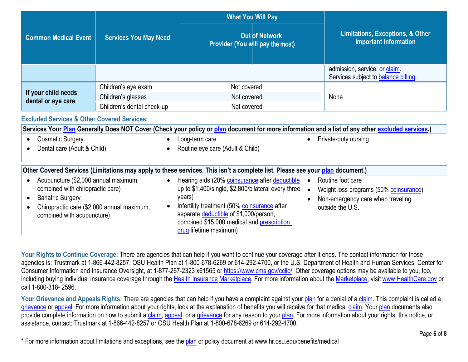| <b>Common Medical Event</b>               | <b>Services You May Need</b> | <b>What You Will Pay</b><br><b>Out of Network</b><br>Provider (You will pay the most) | Limitations, Exceptions, & Other<br><b>Important Information</b>      |  |
|-------------------------------------------|------------------------------|---------------------------------------------------------------------------------------|-----------------------------------------------------------------------|--|
|                                           |                              |                                                                                       | admission, service, or claim.<br>Services subject to balance billing. |  |
| If your child needs<br>dental or eye care | Children's eye exam          | Not covered                                                                           |                                                                       |  |
|                                           | Children's glasses           | Not covered                                                                           | None                                                                  |  |
|                                           | Children's dental check-up   | Not covered                                                                           |                                                                       |  |
|                                           |                              |                                                                                       |                                                                       |  |

### **Excluded Services & Other Covered Services:**

**Services Your [Plan](https://www.healthcare.gov/sbc-glossary/#plan) Generally Does NOT Cover (Check your policy or [plan](https://www.healthcare.gov/sbc-glossary/#plan) document for more information and a list of any other [excluded services.](https://www.healthcare.gov/sbc-glossary/#excluded-services))**

• Cosmetic Surgery

• Long-term care

• Private-duty nursing

• Dental care (Adult & Child)

• Routine eye care (Adult & Child)

## **Other Covered Services (Limitations may apply to these services. This isn't a complete list. Please see you[r plan](https://www.healthcare.gov/sbc-glossary/#plan) document.)**

| Acupuncture (\$2,000 annual maximum,<br>combined with chiropractic care)<br><b>Bariatric Surgery</b><br>Chiropractic care (\$2,000 annual maximum,<br>combined with acupuncture) | Hearing aids (20% coinsurance after deductible<br>up to \$1,400/single, \$2,800/bilateral every three<br>years)<br>Infertility treatment (50% coinsurance after<br>separate deductible of \$1,000/person,<br>combined \$15,000 medical and prescription<br>drug lifetime maximum) | Routine foot care<br>Weight loss programs (50% coinsurance)<br>Non-emergency care when traveling<br>outside the U.S. |
|----------------------------------------------------------------------------------------------------------------------------------------------------------------------------------|-----------------------------------------------------------------------------------------------------------------------------------------------------------------------------------------------------------------------------------------------------------------------------------|----------------------------------------------------------------------------------------------------------------------|
|----------------------------------------------------------------------------------------------------------------------------------------------------------------------------------|-----------------------------------------------------------------------------------------------------------------------------------------------------------------------------------------------------------------------------------------------------------------------------------|----------------------------------------------------------------------------------------------------------------------|

Your Rights to Continue Coverage: There are agencies that can help if you want to continue your coverage after it ends. The contact information for those agencies is: Trustmark at 1-866-442-8257, OSU Health Plan at 1-800-678-6269 or 614-292-4700, or the U.S. Department of Health and Human Services, Center for Consumer Information and Insurance Oversight, at 1-877-267-2323 x61565 or [https://www.cms.gov/cciio/.](https://www.cms.gov/cciio/) Other coverage options may be available to you, too, including buying individual insurance coverage through the [Health Insurance](https://www.healthcare.gov/sbc-glossary/#health-insurance) [Marketplace.](https://www.healthcare.gov/sbc-glossary/#marketplace) For more information about the [Marketplace,](https://www.healthcare.gov/sbc-glossary/#marketplace) visit [www.HealthCare.gov](http://www.healthcare.gov/) or call 1-800-318- 2596.

Your Grievance and Appeals Rights: There are agencies that can help if you have a complaint against your [plan](https://www.healthcare.gov/sbc-glossary/#plan) for a denial of a [claim.](https://www.healthcare.gov/sbc-glossary/#claim) This complaint is called a [grievance](https://www.healthcare.gov/sbc-glossary/#grievance) or [appeal.](https://www.healthcare.gov/sbc-glossary/#appeal) For more information about your rights, look at the explanation of benefits you will receive for that medical [claim.](https://www.healthcare.gov/sbc-glossary/#claim) Your [plan](https://www.healthcare.gov/sbc-glossary/#plan) documents also provide complete information on how to submit a [claim,](https://www.healthcare.gov/sbc-glossary/#claim) [appeal,](https://www.healthcare.gov/sbc-glossary/#appeal) or a [grievance](https://www.healthcare.gov/sbc-glossary/#grievance) for any reason to your [plan.](https://www.healthcare.gov/sbc-glossary/#plan) For more information about your rights, this notice, or assistance, contact: Trustmark at 1-866-442-8257 or OSU Health Plan at 1-800-678-6269 or 614-292-4700.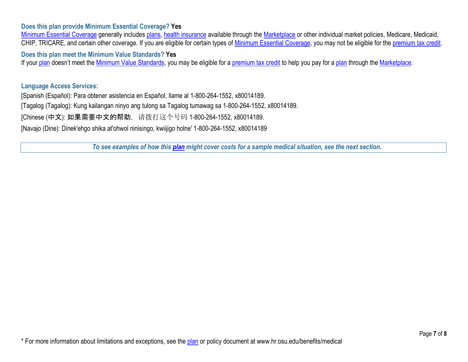### **Does this plan provide Minimum Essential Coverage? Yes**

[Minimum Essential Coverage](https://www.healthcare.gov/sbc-glossary/#minimum-essential-coverage) generally includes [plans,](https://www.healthcare.gov/sbc-glossary/#plan) [health insurance](https://www.healthcare.gov/sbc-glossary/#health-insurance) available through the [Marketplace](https://www.healthcare.gov/sbc-glossary/#marketplace) or other individual market policies, Medicare, Medicaid, CHIP, TRICARE, and certain other coverage. If you are eligible for certain types of [Minimum Essential Coverage,](https://www.healthcare.gov/sbc-glossary/#minimum-essential-coverage) you may not be eligible for the [premium tax credit.](https://www.healthcare.gov/sbc-glossary/#premium-tax-credits)

**Does this plan meet the Minimum Value Standards? Yes**

If your [plan](https://www.healthcare.gov/sbc-glossary/#plan) doesn't meet the [Minimum Value Standards,](https://www.healthcare.gov/sbc-glossary/#minimum-value-standard) you may be eligible for a [premium tax credit](https://www.healthcare.gov/sbc-glossary/#premium-tax-credits) to help you pay for a plan through the [Marketplace.](https://www.healthcare.gov/sbc-glossary/#marketplace)

#### **Language Access Services:**

[Spanish (Español): Para obtener asistencia en Español, llame al 1-800-264-1552, x80014189. [Tagalog (Tagalog): Kung kailangan ninyo ang tulong sa Tagalog tumawag sa 1-800-264-1552, x80014189. [Chinese (中文): 如果需要中文的帮助, 请拨打这个号码 1-800-264-1552, x80014189. [Navajo (Dine): Dinek'ehgo shika at'ohwol ninisingo, kwiijigo holne' 1-800-264-1552, x80014189

*To see examples of how this [plan](https://www.healthcare.gov/sbc-glossary/#plan) might cover costs for a sample medical situation, see the next section.*